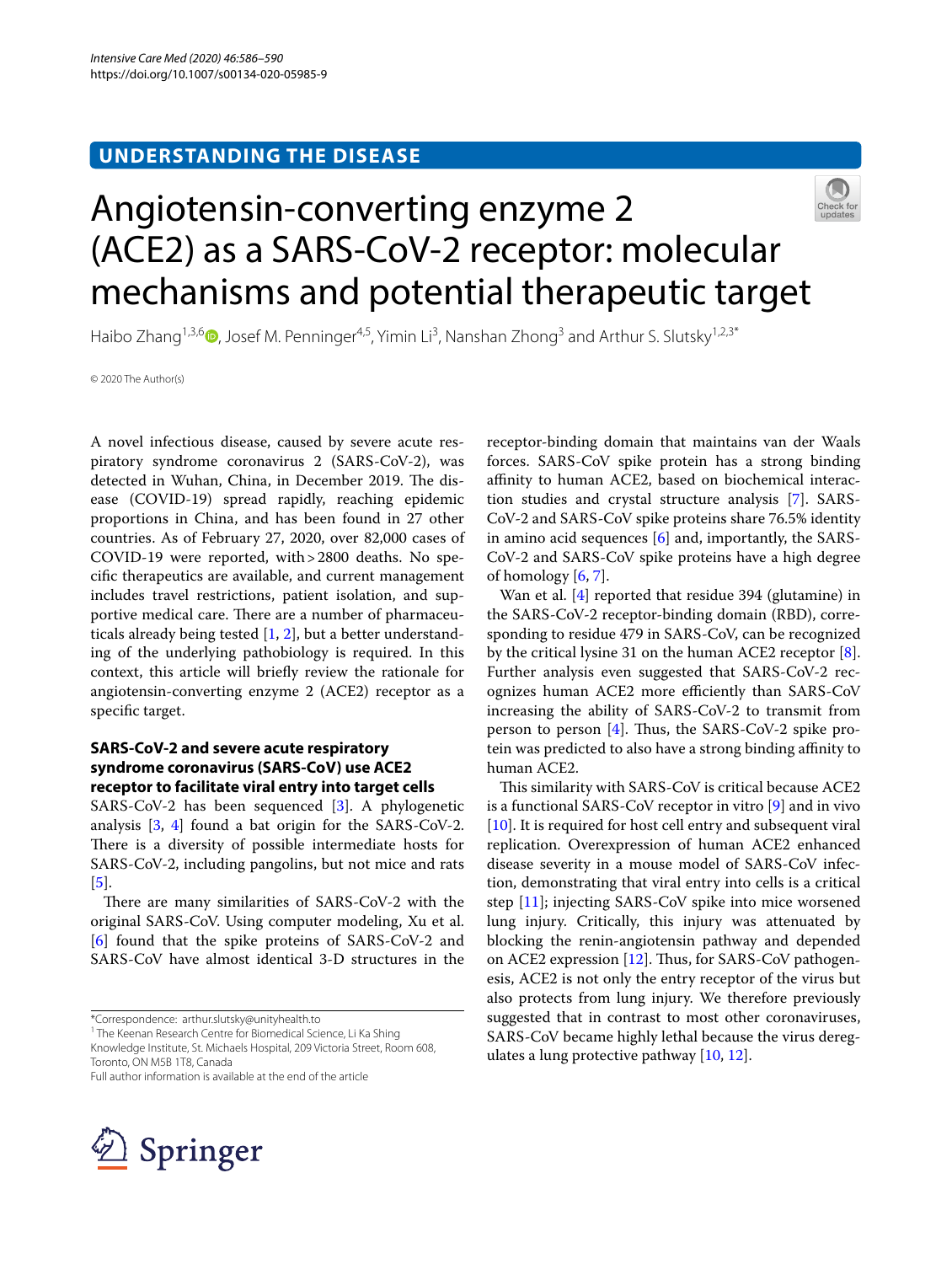## **UNDERSTANDING THE DISEASE**



# Angiotensin-converting enzyme 2 (ACE2) as a SARS-CoV-2 receptor: molecular mechanisms and potential therapeutic target

Haibo Zhang<sup>1,3,6</sup> (D.[,](http://orcid.org/0000-0002-1714-3038) Josef M. Penninger<sup>4,5</sup>, Yimin Li<sup>3</sup>, Nanshan Zhong<sup>3</sup> and Arthur S. Slutsky<sup>1,2,3\*</sup>

© 2020 The Author(s)

A novel infectious disease, caused by severe acute respiratory syndrome coronavirus 2 (SARS-CoV-2), was detected in Wuhan, China, in December 2019. The disease (COVID-19) spread rapidly, reaching epidemic proportions in China, and has been found in 27 other countries. As of February 27, 2020, over 82,000 cases of COVID-19 were reported, with>2800 deaths. No specifc therapeutics are available, and current management includes travel restrictions, patient isolation, and supportive medical care. There are a number of pharmaceuticals already being tested [[1,](#page-3-0) [2](#page-3-1)], but a better understanding of the underlying pathobiology is required. In this context, this article will briefy review the rationale for angiotensin-converting enzyme 2 (ACE2) receptor as a specifc target.

## **SARS‑CoV‑2 and severe acute respiratory syndrome coronavirus (SARS‑CoV) use ACE2 receptor to facilitate viral entry into target cells**

SARS-CoV-2 has been sequenced [[3\]](#page-3-2). A phylogenetic analysis [[3,](#page-3-2) [4\]](#page-3-3) found a bat origin for the SARS-CoV-2. There is a diversity of possible intermediate hosts for SARS-CoV-2, including pangolins, but not mice and rats [[5\]](#page-3-4).

There are many similarities of SARS-CoV-2 with the original SARS-CoV. Using computer modeling, Xu et al. [[6\]](#page-3-5) found that the spike proteins of SARS-CoV-2 and SARS-CoV have almost identical 3-D structures in the

\*Correspondence: arthur.slutsky@unityhealth.to

<sup>1</sup> The Keenan Research Centre for Biomedical Science, Li Ka Shing Knowledge Institute, St. Michaels Hospital, 209 Victoria Street, Room 608, Toronto, ON M5B 1T8, Canada

Full author information is available at the end of the article



receptor-binding domain that maintains van der Waals forces. SARS-CoV spike protein has a strong binding affinity to human ACE2, based on biochemical interaction studies and crystal structure analysis [[7\]](#page-3-6). SARS-CoV-2 and SARS-CoV spike proteins share 76.5% identity in amino acid sequences  $[6]$  $[6]$  and, importantly, the SARS-CoV-2 and SARS-CoV spike proteins have a high degree of homology  $[6, 7]$  $[6, 7]$  $[6, 7]$  $[6, 7]$ .

Wan et al. [[4\]](#page-3-3) reported that residue 394 (glutamine) in the SARS-CoV-2 receptor-binding domain (RBD), corresponding to residue 479 in SARS-CoV, can be recognized by the critical lysine 31 on the human ACE2 receptor [\[8](#page-3-7)]. Further analysis even suggested that SARS-CoV-2 recognizes human ACE2 more efficiently than SARS-CoV increasing the ability of SARS-CoV-2 to transmit from person to person  $[4]$ . Thus, the SARS-CoV-2 spike protein was predicted to also have a strong binding affinity to human ACE2.

This similarity with SARS-CoV is critical because ACE2 is a functional SARS-CoV receptor in vitro [\[9](#page-3-8)] and in vivo [[10\]](#page-3-9). It is required for host cell entry and subsequent viral replication. Overexpression of human ACE2 enhanced disease severity in a mouse model of SARS-CoV infection, demonstrating that viral entry into cells is a critical step [[11\]](#page-3-10); injecting SARS-CoV spike into mice worsened lung injury. Critically, this injury was attenuated by blocking the renin-angiotensin pathway and depended on ACE2 expression  $[12]$ . Thus, for SARS-CoV pathogenesis, ACE2 is not only the entry receptor of the virus but also protects from lung injury. We therefore previously suggested that in contrast to most other coronaviruses, SARS-CoV became highly lethal because the virus deregulates a lung protective pathway [\[10,](#page-3-9) [12](#page-3-11)].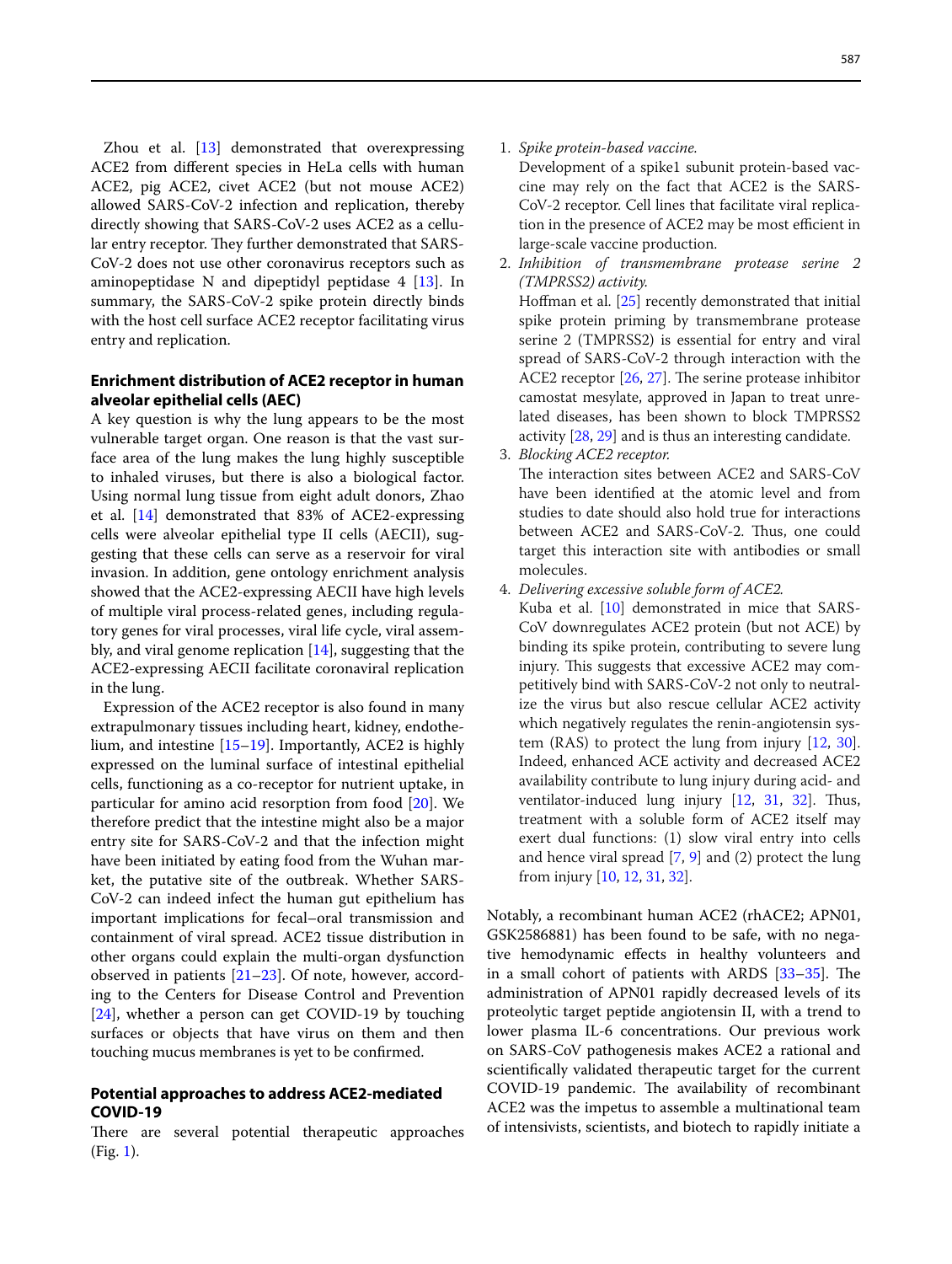Zhou et al. [\[13](#page-3-12)] demonstrated that overexpressing ACE2 from diferent species in HeLa cells with human ACE2, pig ACE2, civet ACE2 (but not mouse ACE2) allowed SARS-CoV-2 infection and replication, thereby directly showing that SARS-CoV-2 uses ACE2 as a cellular entry receptor. They further demonstrated that SARS-CoV-2 does not use other coronavirus receptors such as aminopeptidase N and dipeptidyl peptidase  $4$  [[13\]](#page-3-12). In summary, the SARS-CoV-2 spike protein directly binds with the host cell surface ACE2 receptor facilitating virus entry and replication.

## **Enrichment distribution of ACE2 receptor in human alveolar epithelial cells (AEC)**

A key question is why the lung appears to be the most vulnerable target organ. One reason is that the vast surface area of the lung makes the lung highly susceptible to inhaled viruses, but there is also a biological factor. Using normal lung tissue from eight adult donors, Zhao et al. [\[14\]](#page-3-13) demonstrated that 83% of ACE2-expressing cells were alveolar epithelial type II cells (AECII), suggesting that these cells can serve as a reservoir for viral invasion. In addition, gene ontology enrichment analysis showed that the ACE2-expressing AECII have high levels of multiple viral process-related genes, including regulatory genes for viral processes, viral life cycle, viral assembly, and viral genome replication [[14\]](#page-3-13), suggesting that the ACE2-expressing AECII facilitate coronaviral replication in the lung.

Expression of the ACE2 receptor is also found in many extrapulmonary tissues including heart, kidney, endothelium, and intestine  $[15–19]$  $[15–19]$  $[15–19]$ . Importantly, ACE2 is highly expressed on the luminal surface of intestinal epithelial cells, functioning as a co-receptor for nutrient uptake, in particular for amino acid resorption from food [\[20](#page-3-16)]. We therefore predict that the intestine might also be a major entry site for SARS-CoV-2 and that the infection might have been initiated by eating food from the Wuhan market, the putative site of the outbreak. Whether SARS-CoV-2 can indeed infect the human gut epithelium has important implications for fecal–oral transmission and containment of viral spread. ACE2 tissue distribution in other organs could explain the multi-organ dysfunction observed in patients [[21–](#page-3-17)[23](#page-3-18)]. Of note, however, according to the Centers for Disease Control and Prevention [[24\]](#page-3-19), whether a person can get COVID-19 by touching surfaces or objects that have virus on them and then touching mucus membranes is yet to be confrmed.

## **Potential approaches to address ACE2‑mediated COVID‑19**

There are several potential therapeutic approaches (Fig. [1\)](#page-2-0).

1. *Spike protein-based vaccine.*

Development of a spike1 subunit protein-based vaccine may rely on the fact that ACE2 is the SARS-CoV-2 receptor. Cell lines that facilitate viral replication in the presence of ACE2 may be most efficient in large-scale vaccine production.

2. *Inhibition of transmembrane protease serine 2 (TMPRSS2) activity.*

Hofman et al. [\[25](#page-3-20)] recently demonstrated that initial spike protein priming by transmembrane protease serine 2 (TMPRSS2) is essential for entry and viral spread of SARS-CoV-2 through interaction with the ACE2 receptor  $[26, 27]$  $[26, 27]$  $[26, 27]$  $[26, 27]$ . The serine protease inhibitor camostat mesylate, approved in Japan to treat unrelated diseases, has been shown to block TMPRSS2 activity [\[28](#page-3-23), [29](#page-3-24)] and is thus an interesting candidate.

3. *Blocking ACE2 receptor.*

The interaction sites between ACE2 and SARS-CoV have been identifed at the atomic level and from studies to date should also hold true for interactions between ACE2 and SARS-CoV-2. Thus, one could target this interaction site with antibodies or small molecules.

4. *Delivering excessive soluble form of ACE2.*

Kuba et al. [\[10](#page-3-9)] demonstrated in mice that SARS-CoV downregulates ACE2 protein (but not ACE) by binding its spike protein, contributing to severe lung injury. This suggests that excessive ACE2 may competitively bind with SARS-CoV-2 not only to neutralize the virus but also rescue cellular ACE2 activity which negatively regulates the renin-angiotensin system (RAS) to protect the lung from injury [\[12,](#page-3-11) [30](#page-3-25)]. Indeed, enhanced ACE activity and decreased ACE2 availability contribute to lung injury during acid- and ventilator-induced lung injury [[12](#page-3-11), [31,](#page-3-26) [32](#page-3-27)]. Thus, treatment with a soluble form of ACE2 itself may exert dual functions: (1) slow viral entry into cells and hence viral spread [[7](#page-3-6), [9](#page-3-8)] and (2) protect the lung from injury [\[10,](#page-3-9) [12,](#page-3-11) [31,](#page-3-26) [32](#page-3-27)].

Notably, a recombinant human ACE2 (rhACE2; APN01, GSK2586881) has been found to be safe, with no negative hemodynamic efects in healthy volunteers and in a small cohort of patients with ARDS  $[33-35]$  $[33-35]$  $[33-35]$ . The administration of APN01 rapidly decreased levels of its proteolytic target peptide angiotensin II, with a trend to lower plasma IL-6 concentrations. Our previous work on SARS-CoV pathogenesis makes ACE2 a rational and scientifcally validated therapeutic target for the current COVID-19 pandemic. The availability of recombinant ACE2 was the impetus to assemble a multinational team of intensivists, scientists, and biotech to rapidly initiate a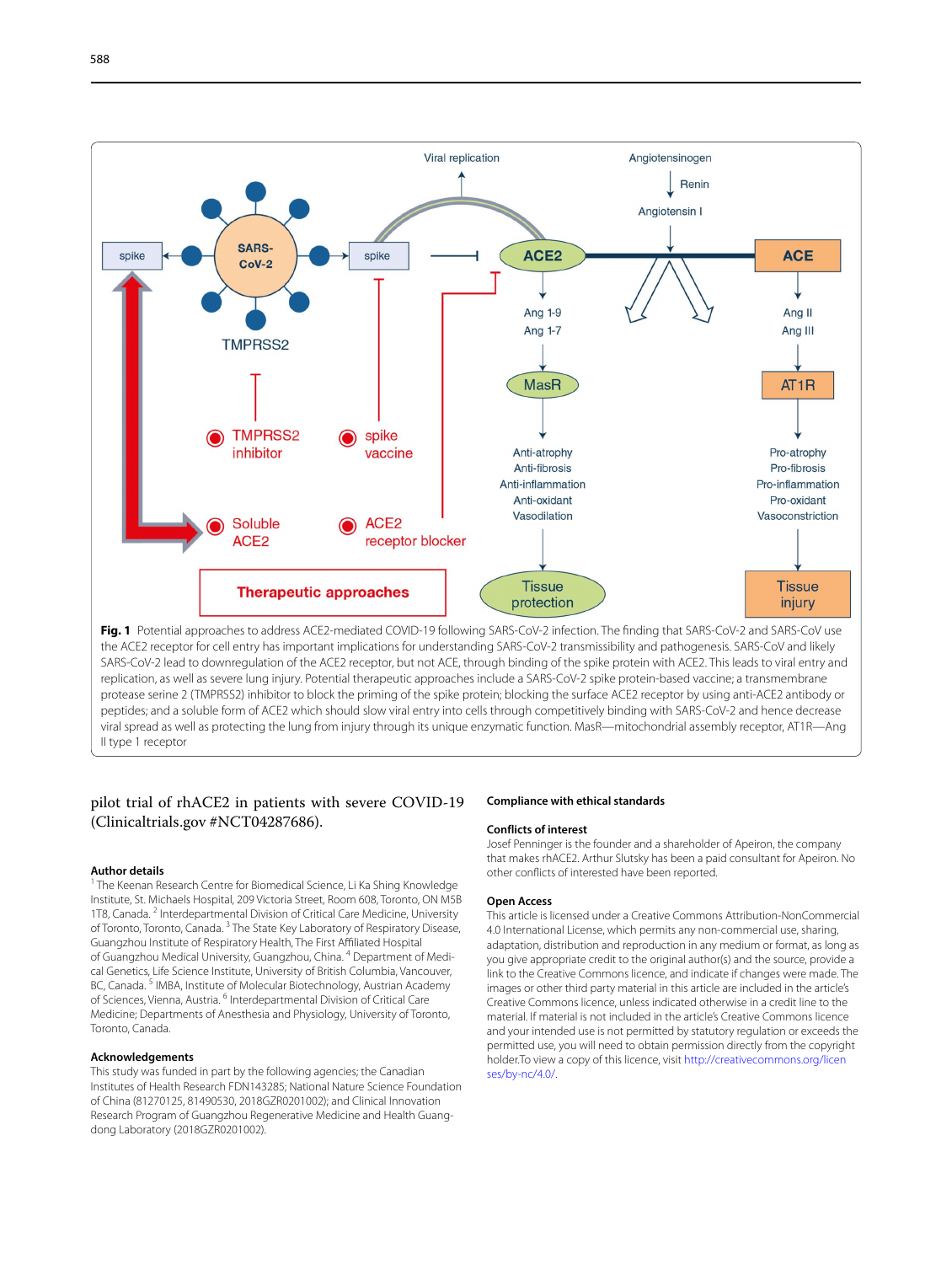

<span id="page-2-0"></span>SARS-CoV-2 lead to downregulation of the ACE2 receptor, but not ACE, through binding of the spike protein with ACE2. This leads to viral entry and replication, as well as severe lung injury. Potential therapeutic approaches include a SARS-CoV-2 spike protein-based vaccine; a transmembrane protease serine 2 (TMPRSS2) inhibitor to block the priming of the spike protein; blocking the surface ACE2 receptor by using anti-ACE2 antibody or peptides; and a soluble form of ACE2 which should slow viral entry into cells through competitively binding with SARS-CoV-2 and hence decrease viral spread as well as protecting the lung from injury through its unique enzymatic function. MasR—mitochondrial assembly receptor, AT1R—Ang II type 1 receptor

## pilot trial of rhACE2 in patients with severe COVID-19 (Clinicaltrials.gov #NCT04287686).

#### **Author details**

<sup>1</sup> The Keenan Research Centre for Biomedical Science, Li Ka Shing Knowledge Institute, St. Michaels Hospital, 209 Victoria Street, Room 608, Toronto, ON M5B 1T8, Canada.<sup>2</sup> Interdepartmental Division of Critical Care Medicine, University of Toronto, Toronto, Canada.<sup>3</sup> The State Key Laboratory of Respiratory Disease, Guangzhou Institute of Respiratory Health, The First Afliated Hospital of Guangzhou Medical University, Guangzhou, China. <sup>4</sup> Department of Medical Genetics, Life Science Institute, University of British Columbia, Vancouver, BC, Canada.<sup>5</sup> IMBA, Institute of Molecular Biotechnology, Austrian Academy of Sciences, Vienna, Austria. <sup>6</sup> Interdepartmental Division of Critical Care Medicine; Departments of Anesthesia and Physiology, University of Toronto, Toronto, Canada.

#### **Acknowledgements**

This study was funded in part by the following agencies; the Canadian Institutes of Health Research FDN143285; National Nature Science Foundation of China (81270125, 81490530, 2018GZR0201002); and Clinical Innovation Research Program of Guangzhou Regenerative Medicine and Health Guangdong Laboratory (2018GZR0201002).

#### **Compliance with ethical standards**

#### **Conflicts of interest**

Josef Penninger is the founder and a shareholder of Apeiron, the company that makes rhACE2. Arthur Slutsky has been a paid consultant for Apeiron. No other conficts of interested have been reported.

#### **Open Access**

This article is licensed under a Creative Commons Attribution-NonCommercial 4.0 International License, which permits any non-commercial use, sharing, adaptation, distribution and reproduction in any medium or format, as long as you give appropriate credit to the original author(s) and the source, provide a link to the Creative Commons licence, and indicate if changes were made. The images or other third party material in this article are included in the article's Creative Commons licence, unless indicated otherwise in a credit line to the material. If material is not included in the article's Creative Commons licence and your intended use is not permitted by statutory regulation or exceeds the permitted use, you will need to obtain permission directly from the copyright holder.To view a copy of this licence, visit [http://creativecommons.org/licen](http://creativecommons.org/licenses/by-nc/4.0/) [ses/by-nc/4.0/](http://creativecommons.org/licenses/by-nc/4.0/).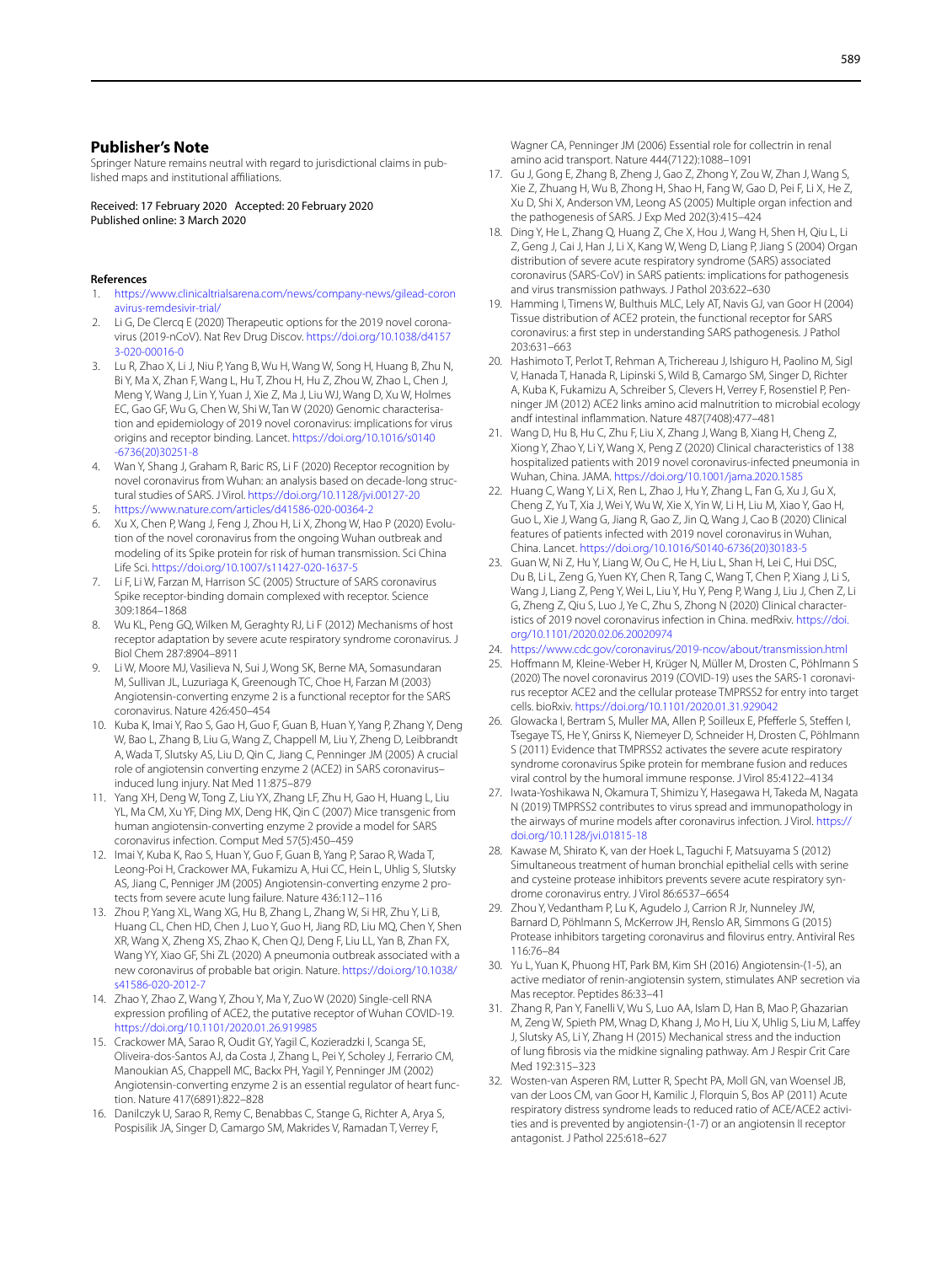## **Publisher's Note**

Springer Nature remains neutral with regard to jurisdictional claims in published maps and institutional afliations.

Received: 17 February 2020 Accepted: 20 February 2020 Published online: 3 March 2020

#### **References**

- <span id="page-3-0"></span>1. [https://www.clinicaltrialsarena.com/news/company-news/gilead-coron](https://www.clinicaltrialsarena.com/news/company-news/gilead-coronavirus-remdesivir-trial/) [avirus-remdesivir-trial/](https://www.clinicaltrialsarena.com/news/company-news/gilead-coronavirus-remdesivir-trial/)
- <span id="page-3-1"></span>2. Li G, De Clercq E (2020) Therapeutic options for the 2019 novel coronavirus (2019-nCoV). Nat Rev Drug Discov. [https://doi.org/10.1038/d4157](https://doi.org/10.1038/d41573-020-00016-0) [3-020-00016-0](https://doi.org/10.1038/d41573-020-00016-0)
- <span id="page-3-2"></span>3. Lu R, Zhao X, Li J, Niu P, Yang B, Wu H, Wang W, Song H, Huang B, Zhu N, Bi Y, Ma X, Zhan F, Wang L, Hu T, Zhou H, Hu Z, Zhou W, Zhao L, Chen J, Meng Y, Wang J, Lin Y, Yuan J, Xie Z, Ma J, Liu WJ, Wang D, Xu W, Holmes EC, Gao GF, Wu G, Chen W, Shi W, Tan W (2020) Genomic characterisation and epidemiology of 2019 novel coronavirus: implications for virus origins and receptor binding. Lancet. [https://doi.org/10.1016/s0140](https://doi.org/10.1016/s0140-6736(20)30251-8) [-6736\(20\)30251-8](https://doi.org/10.1016/s0140-6736(20)30251-8)
- <span id="page-3-3"></span>4. Wan Y, Shang J, Graham R, Baric RS, Li F (2020) Receptor recognition by novel coronavirus from Wuhan: an analysis based on decade-long structural studies of SARS. J Virol.<https://doi.org/10.1128/jvi.00127-20>
- <span id="page-3-4"></span>5. <https://www.nature.com/articles/d41586-020-00364-2>
- <span id="page-3-5"></span>6. Xu X, Chen P, Wang J, Feng J, Zhou H, Li X, Zhong W, Hao P (2020) Evolution of the novel coronavirus from the ongoing Wuhan outbreak and modeling of its Spike protein for risk of human transmission. Sci China Life Sci.<https://doi.org/10.1007/s11427-020-1637-5>
- <span id="page-3-6"></span>7. Li F, Li W, Farzan M, Harrison SC (2005) Structure of SARS coronavirus Spike receptor-binding domain complexed with receptor. Science 309:1864–1868
- <span id="page-3-7"></span>8. Wu KL, Peng GQ, Wilken M, Geraghty RJ, Li F (2012) Mechanisms of host receptor adaptation by severe acute respiratory syndrome coronavirus. J Biol Chem 287:8904–8911
- <span id="page-3-8"></span>9. Li W, Moore MJ, Vasilieva N, Sui J, Wong SK, Berne MA, Somasundaran M, Sullivan JL, Luzuriaga K, Greenough TC, Choe H, Farzan M (2003) Angiotensin-converting enzyme 2 is a functional receptor for the SARS coronavirus. Nature 426:450–454
- <span id="page-3-9"></span>10. Kuba K, Imai Y, Rao S, Gao H, Guo F, Guan B, Huan Y, Yang P, Zhang Y, Deng W, Bao L, Zhang B, Liu G, Wang Z, Chappell M, Liu Y, Zheng D, Leibbrandt A, Wada T, Slutsky AS, Liu D, Qin C, Jiang C, Penninger JM (2005) A crucial role of angiotensin converting enzyme 2 (ACE2) in SARS coronavirus– induced lung injury. Nat Med 11:875–879
- <span id="page-3-10"></span>11. Yang XH, Deng W, Tong Z, Liu YX, Zhang LF, Zhu H, Gao H, Huang L, Liu YL, Ma CM, Xu YF, Ding MX, Deng HK, Qin C (2007) Mice transgenic from human angiotensin-converting enzyme 2 provide a model for SARS coronavirus infection. Comput Med 57(5):450–459
- <span id="page-3-11"></span>12. Imai Y, Kuba K, Rao S, Huan Y, Guo F, Guan B, Yang P, Sarao R, Wada T, Leong-Poi H, Crackower MA, Fukamizu A, Hui CC, Hein L, Uhlig S, Slutsky AS, Jiang C, Penniger JM (2005) Angiotensin-converting enzyme 2 protects from severe acute lung failure. Nature 436:112–116
- <span id="page-3-12"></span>13. Zhou P, Yang XL, Wang XG, Hu B, Zhang L, Zhang W, Si HR, Zhu Y, Li B, Huang CL, Chen HD, Chen J, Luo Y, Guo H, Jiang RD, Liu MQ, Chen Y, Shen XR, Wang X, Zheng XS, Zhao K, Chen QJ, Deng F, Liu LL, Yan B, Zhan FX, Wang YY, Xiao GF, Shi ZL (2020) A pneumonia outbreak associated with a new coronavirus of probable bat origin. Nature. [https://doi.org/10.1038/](https://doi.org/10.1038/s41586-020-2012-7) [s41586-020-2012-7](https://doi.org/10.1038/s41586-020-2012-7)
- <span id="page-3-13"></span>14. Zhao Y, Zhao Z, Wang Y, Zhou Y, Ma Y, Zuo W (2020) Single-cell RNA expression profling of ACE2, the putative receptor of Wuhan COVID-19. <https://doi.org/10.1101/2020.01.26.919985>
- <span id="page-3-14"></span>15. Crackower MA, Sarao R, Oudit GY, Yagil C, Kozieradzki I, Scanga SE, Oliveira-dos-Santos AJ, da Costa J, Zhang L, Pei Y, Scholey J, Ferrario CM, Manoukian AS, Chappell MC, Backx PH, Yagil Y, Penninger JM (2002) Angiotensin-converting enzyme 2 is an essential regulator of heart function. Nature 417(6891):822–828
- 16. Danilczyk U, Sarao R, Remy C, Benabbas C, Stange G, Richter A, Arya S, Pospisilik JA, Singer D, Camargo SM, Makrides V, Ramadan T, Verrey F,

Wagner CA, Penninger JM (2006) Essential role for collectrin in renal amino acid transport. Nature 444(7122):1088–1091

- 17. Gu J, Gong E, Zhang B, Zheng J, Gao Z, Zhong Y, Zou W, Zhan J, Wang S, Xie Z, Zhuang H, Wu B, Zhong H, Shao H, Fang W, Gao D, Pei F, Li X, He Z, Xu D, Shi X, Anderson VM, Leong AS (2005) Multiple organ infection and the pathogenesis of SARS. J Exp Med 202(3):415–424
- 18. Ding Y, He L, Zhang Q, Huang Z, Che X, Hou J, Wang H, Shen H, Qiu L, Li Z, Geng J, Cai J, Han J, Li X, Kang W, Weng D, Liang P, Jiang S (2004) Organ distribution of severe acute respiratory syndrome (SARS) associated coronavirus (SARS-CoV) in SARS patients: implications for pathogenesis and virus transmission pathways. J Pathol 203:622–630
- <span id="page-3-15"></span>19. Hamming I, Timens W, Bulthuis MLC, Lely AT, Navis GJ, van Goor H (2004) Tissue distribution of ACE2 protein, the functional receptor for SARS coronavirus: a frst step in understanding SARS pathogenesis. J Pathol 203:631–663
- <span id="page-3-16"></span>20. Hashimoto T, Perlot T, Rehman A, Trichereau J, Ishiguro H, Paolino M, Sigl V, Hanada T, Hanada R, Lipinski S, Wild B, Camargo SM, Singer D, Richter A, Kuba K, Fukamizu A, Schreiber S, Clevers H, Verrey F, Rosenstiel P, Penninger JM (2012) ACE2 links amino acid malnutrition to microbial ecology andf intestinal infammation. Nature 487(7408):477–481
- <span id="page-3-17"></span>21. Wang D, Hu B, Hu C, Zhu F, Liu X, Zhang J, Wang B, Xiang H, Cheng Z, Xiong Y, Zhao Y, Li Y, Wang X, Peng Z (2020) Clinical characteristics of 138 hospitalized patients with 2019 novel coronavirus-infected pneumonia in Wuhan, China. JAMA.<https://doi.org/10.1001/jama.2020.1585>
- 22. Huang C, Wang Y, Li X, Ren L, Zhao J, Hu Y, Zhang L, Fan G, Xu J, Gu X, Cheng Z, Yu T, Xia J, Wei Y, Wu W, Xie X, Yin W, Li H, Liu M, Xiao Y, Gao H, Guo L, Xie J, Wang G, Jiang R, Gao Z, Jin Q, Wang J, Cao B (2020) Clinical features of patients infected with 2019 novel coronavirus in Wuhan, China. Lancet. [https://doi.org/10.1016/S0140-6736\(20\)30183-5](https://doi.org/10.1016/S0140-6736(20)30183-5)
- <span id="page-3-18"></span>23. Guan W, Ni Z, Hu Y, Liang W, Ou C, He H, Liu L, Shan H, Lei C, Hui DSC, Du B, Li L, Zeng G, Yuen KY, Chen R, Tang C, Wang T, Chen P, Xiang J, Li S, Wang J, Liang Z, Peng Y, Wei L, Liu Y, Hu Y, Peng P, Wang J, Liu J, Chen Z, Li G, Zheng Z, Qiu S, Luo J, Ye C, Zhu S, Zhong N (2020) Clinical characteristics of 2019 novel coronavirus infection in China. medRxiv. [https://doi.](https://doi.org/10.1101/2020.02.06.20020974) [org/10.1101/2020.02.06.20020974](https://doi.org/10.1101/2020.02.06.20020974)
- <span id="page-3-19"></span>24. <https://www.cdc.gov/coronavirus/2019-ncov/about/transmission.html>
- <span id="page-3-20"></span>25. Hofmann M, Kleine-Weber H, Krüger N, Müller M, Drosten C, Pöhlmann S (2020) The novel coronavirus 2019 (COVID-19) uses the SARS-1 coronavirus receptor ACE2 and the cellular protease TMPRSS2 for entry into target cells. bioRxiv. <https://doi.org/10.1101/2020.01.31.929042>
- <span id="page-3-21"></span>26. Glowacka I, Bertram S, Muller MA, Allen P, Soilleux E, Pfefferle S, Steffen I, Tsegaye TS, He Y, Gnirss K, Niemeyer D, Schneider H, Drosten C, Pöhlmann S (2011) Evidence that TMPRSS2 activates the severe acute respiratory syndrome coronavirus Spike protein for membrane fusion and reduces viral control by the humoral immune response. J Virol 85:4122–4134
- <span id="page-3-22"></span>27. Iwata-Yoshikawa N, Okamura T, Shimizu Y, Hasegawa H, Takeda M, Nagata N (2019) TMPRSS2 contributes to virus spread and immunopathology in the airways of murine models after coronavirus infection. J Virol. [https://](https://doi.org/10.1128/jvi.01815-18) [doi.org/10.1128/jvi.01815-18](https://doi.org/10.1128/jvi.01815-18)
- <span id="page-3-23"></span>28. Kawase M, Shirato K, van der Hoek L, Taguchi F, Matsuyama S (2012) Simultaneous treatment of human bronchial epithelial cells with serine and cysteine protease inhibitors prevents severe acute respiratory syndrome coronavirus entry. J Virol 86:6537–6654
- <span id="page-3-24"></span>29. Zhou Y, Vedantham P, Lu K, Agudelo J, Carrion R Jr, Nunneley JW, Barnard D, Pöhlmann S, McKerrow JH, Renslo AR, Simmons G (2015) Protease inhibitors targeting coronavirus and flovirus entry. Antiviral Res 116:76–84
- <span id="page-3-25"></span>30. Yu L, Yuan K, Phuong HT, Park BM, Kim SH (2016) Angiotensin-(1-5), an active mediator of renin-angiotensin system, stimulates ANP secretion via Mas receptor. Peptides 86:33–41
- <span id="page-3-26"></span>31. Zhang R, Pan Y, Fanelli V, Wu S, Luo AA, Islam D, Han B, Mao P, Ghazarian M, Zeng W, Spieth PM, Wnag D, Khang J, Mo H, Liu X, Uhlig S, Liu M, Lafey J, Slutsky AS, Li Y, Zhang H (2015) Mechanical stress and the induction of lung fbrosis via the midkine signaling pathway. Am J Respir Crit Care Med 192:315–323
- <span id="page-3-27"></span>32. Wosten-van Asperen RM, Lutter R, Specht PA, Moll GN, van Woensel JB, van der Loos CM, van Goor H, Kamilic J, Florquin S, Bos AP (2011) Acute respiratory distress syndrome leads to reduced ratio of ACE/ACE2 activities and is prevented by angiotensin-(1-7) or an angiotensin II receptor antagonist. J Pathol 225:618–627